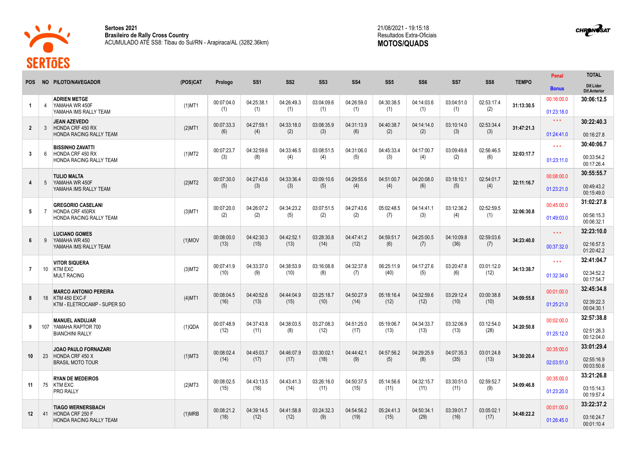

**12** 41 HONDA CRF 250 F

**TIAGO WERNERSBACH**  HONDA RACING RALLY TEAM

**Sertoes 2021 Brasileiro de Rally Cross Country** ACUMULADO ATÉ SS8: Tibau do Sul/RN - Arapiraca/AL (3282.36km)

 $(1)MRB$  00:08:21.2

(18)

04:39:14.5 (12)

04:41:58.8 (12)

03:24:32.3 (9)

04:54:56.2 (19)

05:24:41.3 (15)

04:50:34.1 (29)

03:39:01.7 (16)

03:05:02.1<br>(17)

(17) **34:48:22.2**

00:01:00.0 01:26:45.0 **33:22:37.2** 03:16:24.7 00:01:10.4

21/08/2021 - 19:15:18 Resultados Extra-Oficiais **MOTOS/QUADS**

|                      |                 |                                                                        |           |            |                   |                   | SS <sub>3</sub> |            |                 |                 |            |            |              | Penal               | <b>TOTAL</b>                     |
|----------------------|-----------------|------------------------------------------------------------------------|-----------|------------|-------------------|-------------------|-----------------|------------|-----------------|-----------------|------------|------------|--------------|---------------------|----------------------------------|
| POS.                 |                 | NO PILOTO/NAVEGADOR                                                    | (POS)CAT  | Prologo    | SS <sub>1</sub>   | SS <sub>2</sub>   |                 | <b>SS4</b> | SS <sub>5</sub> | SS <sub>6</sub> | SS7        | SS8        | <b>TEMPO</b> | <b>Bonus</b>        | Dif.Lider<br><b>Dif.Anterior</b> |
| $\blacktriangleleft$ | $\overline{4}$  | <b>ADRIEN METGE</b><br>YAMAHA WR 450F                                  | $(1)$ MT1 | 00:07:04.0 | 04:25:38.1        | 04:26:49.3        | 03:04:09.6      | 04:26:59.0 | 04:30:38.5      | 04:14:03.6      | 03:04:51.0 | 02:53:17.4 | 31:13:30.5   | 00:16:00.0          | 30:06:12.5                       |
|                      |                 | YAMAHA IMS RALLY TEAM                                                  |           | (1)        | (1)               | (1)               | (1)             | (1)        | (1)             | (1)             | (1)        | (2)        |              | 01:23:18.0          |                                  |
| $\overline{2}$       | 3               | <b>JEAN AZEVEDO</b><br><b>HONDA CRF 450 RX</b>                         | $(2)$ MT1 | 00:07:33.3 | 04:27:59.1        | 04:33:18.0        | 03:08:35.9      | 04:31:13.9 | 04:40:38.7      | 04:14:14.0      | 03:10:14.0 | 02:53:34.4 | 31:47:21.3   | $\star\star\star$   | 30:22:40.3                       |
|                      |                 | HONDA RACING RALLY TEAM                                                |           | (6)        | (4)               | (2)               | (3)             | (6)        | (2)             | (2)             | (3)        | (3)        |              | 01:24:41.0          | 00:16:27.8                       |
| $\mathbf{3}$         | 6               | <b>BISSINHO ZAVATTI</b><br>HONDA CRF 450 RX                            | $(1)$ MT2 | 00:07:23.7 | 04:32:59.6        | 04:33:46.5<br>(4) | 03:08:51.5      | 04:31:06.0 | 04:45:33.4      | 04:17:00.7      | 03:09:49.8 | 02:56:46.5 | 32:03:17.7   | $\star \star \star$ | 30:40:06.7                       |
|                      |                 | HONDA RACING RALLY TEAM                                                |           | (3)        | (8)               |                   | (4)             | (5)        | (3)             | (4)             | (2)        | (6)        |              | 01:23:11.0          | 00:33:54.2<br>00:17:26.4         |
|                      |                 | <b>TULIO MALTA</b>                                                     |           | 00:07:30.0 | 04:27:43.6        | 04:33:36.4        | 03:09:10.6      | 04:29:55.6 | 04:51:00.7      | 04:20:08.0      | 03:18:10.1 | 02:54:01.7 |              | 00:08:00.0          | 30:55:55.7                       |
| 4                    | -5              | YAMAHA WR 450F<br>YAMAHA IMS RALLY TEAM                                | (2)MT2    | (5)        | (3)               | (3)               | (5)             | (4)        | (4)             | (6)             | (5)        | (4)        | 32:11:16.7   | 01:23:21.0          | 00:49:43.2<br>00:15:49.0         |
|                      |                 | <b>GREGORIO CASELANI</b><br>HONDA CRF 450RX<br>HONDA RACING RALLY TEAM |           | 00:07:20.0 | 04:26:07.2<br>(2) | 04:34:23.2        | 03:07:51.5      | 04:27:43.6 | 05:02:48.5      | 04:14:41.1      | 03:12:36.2 | 02:52:59.5 |              | 00:45:00.0          | 31:02:27.8                       |
| $5\phantom{.0}$      | $\overline{7}$  |                                                                        | $(3)$ MT1 | (2)        |                   | (5)               | (2)             | (2)        | (7)             | (3)             | (4)        | (1)        | 32:06:30.8   | 01:49:03.0          | 00:56:15.3<br>00:06:32.1         |
|                      |                 | <b>LUCIANO GOMES</b>                                                   |           | 00:08:00.0 | 04:42:30.3        | 04:42:52.1        | 03:28:30.8      | 04:47:41.2 | 04:59:51.7      | 04:25:00.5      | 04:10:09.8 | 02:59:03.6 |              | $\star \star \star$ | 32:23:10.0                       |
| 6                    | 9               | YAMAHA WR 450<br>YAMAHA IMS RALLY TEAM                                 | $(1)$ MOV | (13)       | (15)              | (13)              | (14)            | (12)       | (6)             | (7)             | (36)       | (7)        | 34:23:40.0   | 00:37:32.0          | 02:16:57.5<br>01:20:42.2         |
|                      |                 | <b>VITOR SIQUERA</b>                                                   |           | 00:07:41.9 | 04:33:37.0        | 04:38:53.9        | 03:16:08.8      | 04:32:37.8 | 06:25:11.9      | 04:17:27.6      | 03:20:47.8 | 03:01:12.0 |              | $\star \star \star$ | 32:41:04.7                       |
| $\overline{7}$       | 10 <sup>1</sup> | <b>KTM EXC</b><br><b>MULT RACING</b>                                   | $(3)$ MT2 | (10)       | (9)               | (10)              | (8)             | (7)        | (40)            | (5)             | (6)        | (12)       | 34:13:38.7   | 01:32:34.0          | 02:34:52.2<br>00:17:54.7         |
|                      |                 | <b>MARCO ANTONIO PEREIRA</b>                                           |           | 00:08:04.5 | 04:40:52.6        | 04:44:04.9        | 03:25:18.7      | 04:50:27.9 | 05:18:16.4      | 04:32:59.6      | 03:29:12.4 | 03:00:38.8 |              | 00:01:00.0          | 32:45:34.8                       |
| 8                    | 18              | KTM 450 EXC-F<br>KTM - ELETROCAMP - SUPER SO                           | $(4)$ MT1 | (16)       | (13)              | (15)              | (10)            | (14)       | (12)            | (12)            | (10)       | (10)       | 34:09:55.8   | 01:25:21.0          | 02:39:22.3<br>00:04:30.1         |
|                      |                 | <b>MANUEL ANDUJAR</b>                                                  |           | 00:07:48.9 | 04:37:43.8        | 04:38:03.5        | 03:27:08.3      | 04:51:25.0 | 05:19:06.7      | 04:34:33.7      | 03:32:06.9 | 03:12:54.0 |              | 00:02:00.0          | 32:57:38.8                       |
| 9                    | 107             | YAMAHA RAPTOR 700<br><b>BIANCHINI RALLY</b>                            | (1)QDA    | (12)       | (11)              | (8)               | (12)            | (17)       | (13)            | (13)            | (13)       | (28)       | 34:20:50.8   | 01:25:12.0          | 02:51:26.3<br>00:12:04.0         |
|                      |                 | <b>JOAO PAULO FORNAZARI</b>                                            |           | 00:08:02.4 | 04:45:03.7        | 04:46:07.9        | 03:30:02.1      | 04:44:42.1 | 04:57:56.2      | 04:29:25.9      | 04:07:35.3 | 03:01:24.8 |              | 00:35:00.0          | 33:01:29.4                       |
| 10                   | 23              | HONDA CRF 450 X<br><b>BRASIL MOTO TOUR</b>                             | $(1)$ MT3 | (14)       | (17)              | (17)              | (18)            | (9)        | (5)             | (8)             | (35)       | (13)       | 34:30:20.4   | 02:03:51.0          | 02:55:16.9<br>00:03:50.6         |
|                      |                 | <b>RYAN DE MEDEIROS</b>                                                |           | 00:08:02.5 | 04:43:13.5        | 04:43:41.3        | 03:26:16.0      | 04:50:37.5 | 05:14:56.6      | 04:32:15.7      | 03:30:51.0 | 02:59:52.7 |              | 00:35:00.0          | 33:21:26.8                       |
| 11                   | 75              | <b>KTM EXC</b><br><b>PRO RALLY</b>                                     | (2)MT3    | (15)       | (16)              | (14)              | (11)            | (15)       | (11)            | (11)            | (11)       | (9)        | 34:09:46.8   | 01:23:20.0          | 03:15:14.3<br>00:19:57.4         |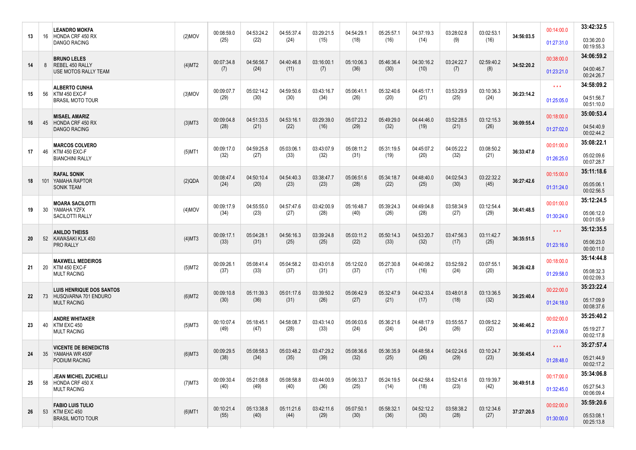| 00:14:00.0<br><b>LEANDRO MOKFA</b><br>00:08:59.0<br>04:53:24.2<br>04:55:37.4<br>03:29:21.5<br>04:54:29.1<br>05:25:57.1<br>04:37:19.3<br>03:28:02.8<br>03:02:53.1<br>$(2)$ MOV<br>34:56:03.5<br>16 HONDA CRF 450 RX<br>13<br>(22)<br>(24)<br>(15)<br>(18)<br>(16)<br>(14)<br>(16)<br>(25)<br>(9)<br>03:36:20.0<br>01:27:31.0<br><b>DANGO RACING</b><br>00:19:55.3<br>34:06:59.2<br><b>BRUNO LELES</b><br>00:38:00.0<br>00:07:34.8<br>05:10:06.3<br>04:30:16.2<br>03:24:22.7<br>02:59:40.2<br>04:56:56.7<br>04:40:46.8<br>03:16:00.1<br>05:46:36.4<br>34:52:20.2<br>REBEL 450 RALLY<br>(4)MT2<br>14<br>8<br>(24)<br>(36)<br>(30)<br>(10)<br>(8)<br>(7)<br>(11)<br>(7)<br>(7)<br>04:00:46.7<br><b>USE MOTOS RALLY TEAM</b><br>01:23:21.0<br>00:24:26.7<br>34:58:09.2<br>$\star \star \star$<br><b>ALBERTO CUNHA</b><br>00:09:07.7<br>05:02:14.2<br>04:59:50.6<br>03:43:16.7<br>05:06:41.1<br>05:32:40.6<br>04:45:17.1<br>03:53:29.9<br>03:10:36.3<br>56 KTM 450 EXC-F<br>$(3)$ MOV<br>36:23:14.2<br>15<br>(29)<br>(30)<br>(30)<br>(34)<br>(26)<br>(20)<br>(21)<br>(25)<br>(24)<br>04:51:56.7<br><b>BRASIL MOTO TOUR</b><br>01:25:05.0<br>00:51:10.0<br>35:00:53.4<br><b>MISAEL AMARIZ</b><br>00:18:00.0<br>00:09:04.8<br>03:52:28.5<br>04:51:33.5<br>04:53:16.1<br>03:29:39.0<br>05:07:23.2<br>05:49:29.0<br>04:44:46.0<br>03:12:15.3<br>HONDA CRF 450 RX<br>$(3)$ MT3<br>36:09:55.4<br>45<br>16<br>(28)<br>(21)<br>(22)<br>(29)<br>(32)<br>(19)<br>(21)<br>(26)<br>(16)<br>04:54:40.9<br><b>DANGO RACING</b><br>01:27:02.0<br>00:02:44.2<br>35:08:22.1<br><b>MARCOS COLVERO</b><br>00:01:00.0<br>00:09:17.0<br>04:59:25.8<br>05:03:06.1<br>03:43:07.9<br>05:08:11.2<br>05:31:19.5<br>04:45:07.2<br>04:05:22.2<br>03:08:50.2<br>KTM 450 EXC-F<br>$(5)$ MT1<br>36:33:47.0<br>46<br>17<br>(32)<br>(27)<br>(33)<br>(32)<br>(31)<br>(19)<br>(20)<br>(32)<br>(21)<br>05:02:09.6<br><b>BIANCHINI RALLY</b><br>01:26:25.0<br>00:07:28.7<br>35:11:18.6<br><b>RAFAL SONIK</b><br>00:15:00.0<br>04:02:54.3<br>03:22:32.2<br>00:08:47.4<br>04:50:10.4<br>04:54:40.3<br>03:38:47.7<br>05:06:51.6<br>05:34:18.7<br>04:48:40.0<br>(2)QDA<br>36:27:42.6<br>101 YAMAHA RAPTOR<br>18<br>(24)<br>(28)<br>(25)<br>(30)<br>(45)<br>(20)<br>(23)<br>(23)<br>(22)<br>05:05:06.1<br><b>SONIK TEAM</b><br>01:31:24.0<br>00:02:56.5<br>35:12:24.5<br>00:01:00.0<br><b>MOARA SACILOTTI</b><br>00:09:17.9<br>04:55:55.0<br>04:57:47.6<br>03:42:00.9<br>05:16:48.7<br>05:39:24.3<br>04:49:04.8<br>03:58:34.9<br>03:12:54.4<br>30<br>$(4)$ MOV<br>36:41:48.5<br>YAMAHA YZFX<br>19<br>(34)<br>(23)<br>(27)<br>(28)<br>(40)<br>(26)<br>(28)<br>(27)<br>(29)<br>05:06:12.0<br>01:30:24.0<br>SACILOTTI RALLY<br>00:01:05.9<br>35:12:35.5<br>$\star \star \star$<br><b>ANILDO THEISS</b><br>00:09:17.1<br>05:04:28.1<br>04:56:16.3<br>03:39:24.8<br>05:03:11.2<br>05:50:14.3<br>04:53:20.7<br>03:47:56.3<br>03:11:42.7<br>36:35:51.5<br>52 KAWASAKI KLX 450<br>$(4)$ MT3<br>20<br>(33)<br>(22)<br>(33)<br>(32)<br>(25)<br>(31)<br>(25)<br>(25)<br>(17)<br>05:06:23.0<br><b>PRO RALLY</b><br>01:23:16.0<br>00:00:11.0<br>35:14:44.8<br><b>MAXWELL MEDEIROS</b><br>00:18:00.0<br>00:09:26.1<br>05:08:41.4<br>05:04:58.2<br>03:43:01.8<br>05:12:02.0<br>05:27:30.8<br>04:40:08.2<br>03:52:59.2<br>03:07:55.1<br>20<br>KTM 450 EXC-F<br>(5)MT2<br>36:26:42.8<br>21<br>(37)<br>(33)<br>(37)<br>(31)<br>(37)<br>(17)<br>(16)<br>(24)<br>(20)<br>05:08:32.3<br><b>MULT RACING</b><br>01:29:58.0<br>00:02:09.3<br>35:23:22.4<br>00:22:00.0<br><b>LUIS HENRIQUE DOS SANTOS</b><br>03:39:50.2<br>05:06:42.9<br>05:32:47.9<br>04:42:33.4<br>03:48:01.8<br>03:13:36.5<br>00:09:10.8<br>05:11:39.3<br>05:01:17.6<br>73 HUSQVARNA 701 ENDURO<br>(6)MT2<br>36:25:40.4<br>22<br>(30)<br>(36)<br>(31)<br>(26)<br>(27)<br>(21)<br>(17)<br>(18)<br>(32)<br>05:17:09.9<br><b>MULT RACING</b><br>01:24:18.0<br>00:08:37.6<br>35:25:40.2<br>00:02:00.0<br><b>ANDRE WHITAKER</b><br>03:43:14.0<br>05:06:03.6<br>05:36:21.6<br>04:48:17.9<br>03:55:55.7<br>03:09:52.2<br>00:10:07.4<br>05:18:45.1<br>04:58:08.7<br>$(5)$ MT3<br>36:46:46.2<br>40 KTM EXC 450<br>23<br>(49)<br>(47)<br>(28)<br>(33)<br>(24)<br>(24)<br>(24)<br>(26)<br>(22)<br>05:19:27.7<br><b>MULT RACING</b><br>01:23:06.0<br>00:02:17.8<br>35:27:57.4<br>$\star \star \star$<br><b>VICENTE DE BENEDICTIS</b><br>03:47:29.2<br>05:08:36.6<br>04:02:24.6<br>00:09:29.5<br>05:08:58.3<br>05:03:48.2<br>05:36:35.9<br>04:48:58.4<br>03:10:24.7<br>$(6)$ MT3<br>35 YAMAHA WR 450F<br>36:56:45.4<br>24<br>(38)<br>(32)<br>(29)<br>(23)<br>(34)<br>(35)<br>(39)<br>(25)<br>(26)<br>05:21:44.9<br>01:28:48.0<br>PODIUM RACING<br>00:02:17.2<br>35:34:06.8<br>00:17:00.0<br><b>JEAN MICHEL ZUCHELLI</b><br>00:09:30.4<br>04:42:58.4<br>03:52:41.6<br>03:19:39.7<br>05:21:08.8<br>05:08:58.8<br>03:44:00.9<br>05:06:33.7<br>05:24:19.5<br>$(7)$ MT3<br>36:49:51.8<br>25<br>58 HONDA CRF 450 X<br>(40)<br>(49)<br>(40)<br>(25)<br>(14)<br>(18)<br>(23)<br>(42)<br>(36)<br>05:27:54.3<br><b>MULT RACING</b><br>01:32:45.0<br>00:06:09.4<br>35:59:20.6<br><b>FABIO LUIS TULIO</b><br>00:02:00.0<br>03:12:34.6<br>00:10:21.4<br>05:13:38.8<br>05:11:21.6<br>03:42:11.6<br>05:07:50.1<br>05:58:32.1<br>04:52:12.2<br>03:58:38.2<br>37:27:20.5<br>53 KTM EXC 450<br>$(6)$ MT1<br>26<br>(55)<br>(40)<br>(44)<br>(29)<br>(30)<br>(36)<br>(30)<br>(28)<br>(27)<br>05:53:08.1<br><b>BRASIL MOTO TOUR</b><br>01:30:00.0<br>00:25:13.8 |  |  |  |  |  |  |  |  | 33:42:32.5 |
|------------------------------------------------------------------------------------------------------------------------------------------------------------------------------------------------------------------------------------------------------------------------------------------------------------------------------------------------------------------------------------------------------------------------------------------------------------------------------------------------------------------------------------------------------------------------------------------------------------------------------------------------------------------------------------------------------------------------------------------------------------------------------------------------------------------------------------------------------------------------------------------------------------------------------------------------------------------------------------------------------------------------------------------------------------------------------------------------------------------------------------------------------------------------------------------------------------------------------------------------------------------------------------------------------------------------------------------------------------------------------------------------------------------------------------------------------------------------------------------------------------------------------------------------------------------------------------------------------------------------------------------------------------------------------------------------------------------------------------------------------------------------------------------------------------------------------------------------------------------------------------------------------------------------------------------------------------------------------------------------------------------------------------------------------------------------------------------------------------------------------------------------------------------------------------------------------------------------------------------------------------------------------------------------------------------------------------------------------------------------------------------------------------------------------------------------------------------------------------------------------------------------------------------------------------------------------------------------------------------------------------------------------------------------------------------------------------------------------------------------------------------------------------------------------------------------------------------------------------------------------------------------------------------------------------------------------------------------------------------------------------------------------------------------------------------------------------------------------------------------------------------------------------------------------------------------------------------------------------------------------------------------------------------------------------------------------------------------------------------------------------------------------------------------------------------------------------------------------------------------------------------------------------------------------------------------------------------------------------------------------------------------------------------------------------------------------------------------------------------------------------------------------------------------------------------------------------------------------------------------------------------------------------------------------------------------------------------------------------------------------------------------------------------------------------------------------------------------------------------------------------------------------------------------------------------------------------------------------------------------------------------------------------------------------------------------------------------------------------------------------------------------------------------------------------------------------------------------------------------------------------------------------------------------------------------------------------------------------------------------------------------------------------------------------------------------------------------------------------------------------------------------------------------------------------------------------------------------------------------------------------------------------------------------------------------------------------------------------------------------------------------------------------------------------------------------------------------------------------------------------------------------------------------------------------------------------------------------------------------------------------------------------------------------------------------------------------------------------------------------------------------------------------------------|--|--|--|--|--|--|--|--|------------|
|                                                                                                                                                                                                                                                                                                                                                                                                                                                                                                                                                                                                                                                                                                                                                                                                                                                                                                                                                                                                                                                                                                                                                                                                                                                                                                                                                                                                                                                                                                                                                                                                                                                                                                                                                                                                                                                                                                                                                                                                                                                                                                                                                                                                                                                                                                                                                                                                                                                                                                                                                                                                                                                                                                                                                                                                                                                                                                                                                                                                                                                                                                                                                                                                                                                                                                                                                                                                                                                                                                                                                                                                                                                                                                                                                                                                                                                                                                                                                                                                                                                                                                                                                                                                                                                                                                                                                                                                                                                                                                                                                                                                                                                                                                                                                                                                                                                                                                                                                                                                                                                                                                                                                                                                                                                                                                                                                                                                                        |  |  |  |  |  |  |  |  |            |
|                                                                                                                                                                                                                                                                                                                                                                                                                                                                                                                                                                                                                                                                                                                                                                                                                                                                                                                                                                                                                                                                                                                                                                                                                                                                                                                                                                                                                                                                                                                                                                                                                                                                                                                                                                                                                                                                                                                                                                                                                                                                                                                                                                                                                                                                                                                                                                                                                                                                                                                                                                                                                                                                                                                                                                                                                                                                                                                                                                                                                                                                                                                                                                                                                                                                                                                                                                                                                                                                                                                                                                                                                                                                                                                                                                                                                                                                                                                                                                                                                                                                                                                                                                                                                                                                                                                                                                                                                                                                                                                                                                                                                                                                                                                                                                                                                                                                                                                                                                                                                                                                                                                                                                                                                                                                                                                                                                                                                        |  |  |  |  |  |  |  |  |            |
|                                                                                                                                                                                                                                                                                                                                                                                                                                                                                                                                                                                                                                                                                                                                                                                                                                                                                                                                                                                                                                                                                                                                                                                                                                                                                                                                                                                                                                                                                                                                                                                                                                                                                                                                                                                                                                                                                                                                                                                                                                                                                                                                                                                                                                                                                                                                                                                                                                                                                                                                                                                                                                                                                                                                                                                                                                                                                                                                                                                                                                                                                                                                                                                                                                                                                                                                                                                                                                                                                                                                                                                                                                                                                                                                                                                                                                                                                                                                                                                                                                                                                                                                                                                                                                                                                                                                                                                                                                                                                                                                                                                                                                                                                                                                                                                                                                                                                                                                                                                                                                                                                                                                                                                                                                                                                                                                                                                                                        |  |  |  |  |  |  |  |  |            |
|                                                                                                                                                                                                                                                                                                                                                                                                                                                                                                                                                                                                                                                                                                                                                                                                                                                                                                                                                                                                                                                                                                                                                                                                                                                                                                                                                                                                                                                                                                                                                                                                                                                                                                                                                                                                                                                                                                                                                                                                                                                                                                                                                                                                                                                                                                                                                                                                                                                                                                                                                                                                                                                                                                                                                                                                                                                                                                                                                                                                                                                                                                                                                                                                                                                                                                                                                                                                                                                                                                                                                                                                                                                                                                                                                                                                                                                                                                                                                                                                                                                                                                                                                                                                                                                                                                                                                                                                                                                                                                                                                                                                                                                                                                                                                                                                                                                                                                                                                                                                                                                                                                                                                                                                                                                                                                                                                                                                                        |  |  |  |  |  |  |  |  |            |
|                                                                                                                                                                                                                                                                                                                                                                                                                                                                                                                                                                                                                                                                                                                                                                                                                                                                                                                                                                                                                                                                                                                                                                                                                                                                                                                                                                                                                                                                                                                                                                                                                                                                                                                                                                                                                                                                                                                                                                                                                                                                                                                                                                                                                                                                                                                                                                                                                                                                                                                                                                                                                                                                                                                                                                                                                                                                                                                                                                                                                                                                                                                                                                                                                                                                                                                                                                                                                                                                                                                                                                                                                                                                                                                                                                                                                                                                                                                                                                                                                                                                                                                                                                                                                                                                                                                                                                                                                                                                                                                                                                                                                                                                                                                                                                                                                                                                                                                                                                                                                                                                                                                                                                                                                                                                                                                                                                                                                        |  |  |  |  |  |  |  |  |            |
|                                                                                                                                                                                                                                                                                                                                                                                                                                                                                                                                                                                                                                                                                                                                                                                                                                                                                                                                                                                                                                                                                                                                                                                                                                                                                                                                                                                                                                                                                                                                                                                                                                                                                                                                                                                                                                                                                                                                                                                                                                                                                                                                                                                                                                                                                                                                                                                                                                                                                                                                                                                                                                                                                                                                                                                                                                                                                                                                                                                                                                                                                                                                                                                                                                                                                                                                                                                                                                                                                                                                                                                                                                                                                                                                                                                                                                                                                                                                                                                                                                                                                                                                                                                                                                                                                                                                                                                                                                                                                                                                                                                                                                                                                                                                                                                                                                                                                                                                                                                                                                                                                                                                                                                                                                                                                                                                                                                                                        |  |  |  |  |  |  |  |  |            |
|                                                                                                                                                                                                                                                                                                                                                                                                                                                                                                                                                                                                                                                                                                                                                                                                                                                                                                                                                                                                                                                                                                                                                                                                                                                                                                                                                                                                                                                                                                                                                                                                                                                                                                                                                                                                                                                                                                                                                                                                                                                                                                                                                                                                                                                                                                                                                                                                                                                                                                                                                                                                                                                                                                                                                                                                                                                                                                                                                                                                                                                                                                                                                                                                                                                                                                                                                                                                                                                                                                                                                                                                                                                                                                                                                                                                                                                                                                                                                                                                                                                                                                                                                                                                                                                                                                                                                                                                                                                                                                                                                                                                                                                                                                                                                                                                                                                                                                                                                                                                                                                                                                                                                                                                                                                                                                                                                                                                                        |  |  |  |  |  |  |  |  |            |
|                                                                                                                                                                                                                                                                                                                                                                                                                                                                                                                                                                                                                                                                                                                                                                                                                                                                                                                                                                                                                                                                                                                                                                                                                                                                                                                                                                                                                                                                                                                                                                                                                                                                                                                                                                                                                                                                                                                                                                                                                                                                                                                                                                                                                                                                                                                                                                                                                                                                                                                                                                                                                                                                                                                                                                                                                                                                                                                                                                                                                                                                                                                                                                                                                                                                                                                                                                                                                                                                                                                                                                                                                                                                                                                                                                                                                                                                                                                                                                                                                                                                                                                                                                                                                                                                                                                                                                                                                                                                                                                                                                                                                                                                                                                                                                                                                                                                                                                                                                                                                                                                                                                                                                                                                                                                                                                                                                                                                        |  |  |  |  |  |  |  |  |            |
|                                                                                                                                                                                                                                                                                                                                                                                                                                                                                                                                                                                                                                                                                                                                                                                                                                                                                                                                                                                                                                                                                                                                                                                                                                                                                                                                                                                                                                                                                                                                                                                                                                                                                                                                                                                                                                                                                                                                                                                                                                                                                                                                                                                                                                                                                                                                                                                                                                                                                                                                                                                                                                                                                                                                                                                                                                                                                                                                                                                                                                                                                                                                                                                                                                                                                                                                                                                                                                                                                                                                                                                                                                                                                                                                                                                                                                                                                                                                                                                                                                                                                                                                                                                                                                                                                                                                                                                                                                                                                                                                                                                                                                                                                                                                                                                                                                                                                                                                                                                                                                                                                                                                                                                                                                                                                                                                                                                                                        |  |  |  |  |  |  |  |  |            |
|                                                                                                                                                                                                                                                                                                                                                                                                                                                                                                                                                                                                                                                                                                                                                                                                                                                                                                                                                                                                                                                                                                                                                                                                                                                                                                                                                                                                                                                                                                                                                                                                                                                                                                                                                                                                                                                                                                                                                                                                                                                                                                                                                                                                                                                                                                                                                                                                                                                                                                                                                                                                                                                                                                                                                                                                                                                                                                                                                                                                                                                                                                                                                                                                                                                                                                                                                                                                                                                                                                                                                                                                                                                                                                                                                                                                                                                                                                                                                                                                                                                                                                                                                                                                                                                                                                                                                                                                                                                                                                                                                                                                                                                                                                                                                                                                                                                                                                                                                                                                                                                                                                                                                                                                                                                                                                                                                                                                                        |  |  |  |  |  |  |  |  |            |
|                                                                                                                                                                                                                                                                                                                                                                                                                                                                                                                                                                                                                                                                                                                                                                                                                                                                                                                                                                                                                                                                                                                                                                                                                                                                                                                                                                                                                                                                                                                                                                                                                                                                                                                                                                                                                                                                                                                                                                                                                                                                                                                                                                                                                                                                                                                                                                                                                                                                                                                                                                                                                                                                                                                                                                                                                                                                                                                                                                                                                                                                                                                                                                                                                                                                                                                                                                                                                                                                                                                                                                                                                                                                                                                                                                                                                                                                                                                                                                                                                                                                                                                                                                                                                                                                                                                                                                                                                                                                                                                                                                                                                                                                                                                                                                                                                                                                                                                                                                                                                                                                                                                                                                                                                                                                                                                                                                                                                        |  |  |  |  |  |  |  |  |            |
|                                                                                                                                                                                                                                                                                                                                                                                                                                                                                                                                                                                                                                                                                                                                                                                                                                                                                                                                                                                                                                                                                                                                                                                                                                                                                                                                                                                                                                                                                                                                                                                                                                                                                                                                                                                                                                                                                                                                                                                                                                                                                                                                                                                                                                                                                                                                                                                                                                                                                                                                                                                                                                                                                                                                                                                                                                                                                                                                                                                                                                                                                                                                                                                                                                                                                                                                                                                                                                                                                                                                                                                                                                                                                                                                                                                                                                                                                                                                                                                                                                                                                                                                                                                                                                                                                                                                                                                                                                                                                                                                                                                                                                                                                                                                                                                                                                                                                                                                                                                                                                                                                                                                                                                                                                                                                                                                                                                                                        |  |  |  |  |  |  |  |  |            |
|                                                                                                                                                                                                                                                                                                                                                                                                                                                                                                                                                                                                                                                                                                                                                                                                                                                                                                                                                                                                                                                                                                                                                                                                                                                                                                                                                                                                                                                                                                                                                                                                                                                                                                                                                                                                                                                                                                                                                                                                                                                                                                                                                                                                                                                                                                                                                                                                                                                                                                                                                                                                                                                                                                                                                                                                                                                                                                                                                                                                                                                                                                                                                                                                                                                                                                                                                                                                                                                                                                                                                                                                                                                                                                                                                                                                                                                                                                                                                                                                                                                                                                                                                                                                                                                                                                                                                                                                                                                                                                                                                                                                                                                                                                                                                                                                                                                                                                                                                                                                                                                                                                                                                                                                                                                                                                                                                                                                                        |  |  |  |  |  |  |  |  |            |
|                                                                                                                                                                                                                                                                                                                                                                                                                                                                                                                                                                                                                                                                                                                                                                                                                                                                                                                                                                                                                                                                                                                                                                                                                                                                                                                                                                                                                                                                                                                                                                                                                                                                                                                                                                                                                                                                                                                                                                                                                                                                                                                                                                                                                                                                                                                                                                                                                                                                                                                                                                                                                                                                                                                                                                                                                                                                                                                                                                                                                                                                                                                                                                                                                                                                                                                                                                                                                                                                                                                                                                                                                                                                                                                                                                                                                                                                                                                                                                                                                                                                                                                                                                                                                                                                                                                                                                                                                                                                                                                                                                                                                                                                                                                                                                                                                                                                                                                                                                                                                                                                                                                                                                                                                                                                                                                                                                                                                        |  |  |  |  |  |  |  |  |            |
|                                                                                                                                                                                                                                                                                                                                                                                                                                                                                                                                                                                                                                                                                                                                                                                                                                                                                                                                                                                                                                                                                                                                                                                                                                                                                                                                                                                                                                                                                                                                                                                                                                                                                                                                                                                                                                                                                                                                                                                                                                                                                                                                                                                                                                                                                                                                                                                                                                                                                                                                                                                                                                                                                                                                                                                                                                                                                                                                                                                                                                                                                                                                                                                                                                                                                                                                                                                                                                                                                                                                                                                                                                                                                                                                                                                                                                                                                                                                                                                                                                                                                                                                                                                                                                                                                                                                                                                                                                                                                                                                                                                                                                                                                                                                                                                                                                                                                                                                                                                                                                                                                                                                                                                                                                                                                                                                                                                                                        |  |  |  |  |  |  |  |  |            |
|                                                                                                                                                                                                                                                                                                                                                                                                                                                                                                                                                                                                                                                                                                                                                                                                                                                                                                                                                                                                                                                                                                                                                                                                                                                                                                                                                                                                                                                                                                                                                                                                                                                                                                                                                                                                                                                                                                                                                                                                                                                                                                                                                                                                                                                                                                                                                                                                                                                                                                                                                                                                                                                                                                                                                                                                                                                                                                                                                                                                                                                                                                                                                                                                                                                                                                                                                                                                                                                                                                                                                                                                                                                                                                                                                                                                                                                                                                                                                                                                                                                                                                                                                                                                                                                                                                                                                                                                                                                                                                                                                                                                                                                                                                                                                                                                                                                                                                                                                                                                                                                                                                                                                                                                                                                                                                                                                                                                                        |  |  |  |  |  |  |  |  |            |
|                                                                                                                                                                                                                                                                                                                                                                                                                                                                                                                                                                                                                                                                                                                                                                                                                                                                                                                                                                                                                                                                                                                                                                                                                                                                                                                                                                                                                                                                                                                                                                                                                                                                                                                                                                                                                                                                                                                                                                                                                                                                                                                                                                                                                                                                                                                                                                                                                                                                                                                                                                                                                                                                                                                                                                                                                                                                                                                                                                                                                                                                                                                                                                                                                                                                                                                                                                                                                                                                                                                                                                                                                                                                                                                                                                                                                                                                                                                                                                                                                                                                                                                                                                                                                                                                                                                                                                                                                                                                                                                                                                                                                                                                                                                                                                                                                                                                                                                                                                                                                                                                                                                                                                                                                                                                                                                                                                                                                        |  |  |  |  |  |  |  |  |            |
|                                                                                                                                                                                                                                                                                                                                                                                                                                                                                                                                                                                                                                                                                                                                                                                                                                                                                                                                                                                                                                                                                                                                                                                                                                                                                                                                                                                                                                                                                                                                                                                                                                                                                                                                                                                                                                                                                                                                                                                                                                                                                                                                                                                                                                                                                                                                                                                                                                                                                                                                                                                                                                                                                                                                                                                                                                                                                                                                                                                                                                                                                                                                                                                                                                                                                                                                                                                                                                                                                                                                                                                                                                                                                                                                                                                                                                                                                                                                                                                                                                                                                                                                                                                                                                                                                                                                                                                                                                                                                                                                                                                                                                                                                                                                                                                                                                                                                                                                                                                                                                                                                                                                                                                                                                                                                                                                                                                                                        |  |  |  |  |  |  |  |  |            |
|                                                                                                                                                                                                                                                                                                                                                                                                                                                                                                                                                                                                                                                                                                                                                                                                                                                                                                                                                                                                                                                                                                                                                                                                                                                                                                                                                                                                                                                                                                                                                                                                                                                                                                                                                                                                                                                                                                                                                                                                                                                                                                                                                                                                                                                                                                                                                                                                                                                                                                                                                                                                                                                                                                                                                                                                                                                                                                                                                                                                                                                                                                                                                                                                                                                                                                                                                                                                                                                                                                                                                                                                                                                                                                                                                                                                                                                                                                                                                                                                                                                                                                                                                                                                                                                                                                                                                                                                                                                                                                                                                                                                                                                                                                                                                                                                                                                                                                                                                                                                                                                                                                                                                                                                                                                                                                                                                                                                                        |  |  |  |  |  |  |  |  |            |
|                                                                                                                                                                                                                                                                                                                                                                                                                                                                                                                                                                                                                                                                                                                                                                                                                                                                                                                                                                                                                                                                                                                                                                                                                                                                                                                                                                                                                                                                                                                                                                                                                                                                                                                                                                                                                                                                                                                                                                                                                                                                                                                                                                                                                                                                                                                                                                                                                                                                                                                                                                                                                                                                                                                                                                                                                                                                                                                                                                                                                                                                                                                                                                                                                                                                                                                                                                                                                                                                                                                                                                                                                                                                                                                                                                                                                                                                                                                                                                                                                                                                                                                                                                                                                                                                                                                                                                                                                                                                                                                                                                                                                                                                                                                                                                                                                                                                                                                                                                                                                                                                                                                                                                                                                                                                                                                                                                                                                        |  |  |  |  |  |  |  |  |            |
|                                                                                                                                                                                                                                                                                                                                                                                                                                                                                                                                                                                                                                                                                                                                                                                                                                                                                                                                                                                                                                                                                                                                                                                                                                                                                                                                                                                                                                                                                                                                                                                                                                                                                                                                                                                                                                                                                                                                                                                                                                                                                                                                                                                                                                                                                                                                                                                                                                                                                                                                                                                                                                                                                                                                                                                                                                                                                                                                                                                                                                                                                                                                                                                                                                                                                                                                                                                                                                                                                                                                                                                                                                                                                                                                                                                                                                                                                                                                                                                                                                                                                                                                                                                                                                                                                                                                                                                                                                                                                                                                                                                                                                                                                                                                                                                                                                                                                                                                                                                                                                                                                                                                                                                                                                                                                                                                                                                                                        |  |  |  |  |  |  |  |  |            |
|                                                                                                                                                                                                                                                                                                                                                                                                                                                                                                                                                                                                                                                                                                                                                                                                                                                                                                                                                                                                                                                                                                                                                                                                                                                                                                                                                                                                                                                                                                                                                                                                                                                                                                                                                                                                                                                                                                                                                                                                                                                                                                                                                                                                                                                                                                                                                                                                                                                                                                                                                                                                                                                                                                                                                                                                                                                                                                                                                                                                                                                                                                                                                                                                                                                                                                                                                                                                                                                                                                                                                                                                                                                                                                                                                                                                                                                                                                                                                                                                                                                                                                                                                                                                                                                                                                                                                                                                                                                                                                                                                                                                                                                                                                                                                                                                                                                                                                                                                                                                                                                                                                                                                                                                                                                                                                                                                                                                                        |  |  |  |  |  |  |  |  |            |
|                                                                                                                                                                                                                                                                                                                                                                                                                                                                                                                                                                                                                                                                                                                                                                                                                                                                                                                                                                                                                                                                                                                                                                                                                                                                                                                                                                                                                                                                                                                                                                                                                                                                                                                                                                                                                                                                                                                                                                                                                                                                                                                                                                                                                                                                                                                                                                                                                                                                                                                                                                                                                                                                                                                                                                                                                                                                                                                                                                                                                                                                                                                                                                                                                                                                                                                                                                                                                                                                                                                                                                                                                                                                                                                                                                                                                                                                                                                                                                                                                                                                                                                                                                                                                                                                                                                                                                                                                                                                                                                                                                                                                                                                                                                                                                                                                                                                                                                                                                                                                                                                                                                                                                                                                                                                                                                                                                                                                        |  |  |  |  |  |  |  |  |            |
|                                                                                                                                                                                                                                                                                                                                                                                                                                                                                                                                                                                                                                                                                                                                                                                                                                                                                                                                                                                                                                                                                                                                                                                                                                                                                                                                                                                                                                                                                                                                                                                                                                                                                                                                                                                                                                                                                                                                                                                                                                                                                                                                                                                                                                                                                                                                                                                                                                                                                                                                                                                                                                                                                                                                                                                                                                                                                                                                                                                                                                                                                                                                                                                                                                                                                                                                                                                                                                                                                                                                                                                                                                                                                                                                                                                                                                                                                                                                                                                                                                                                                                                                                                                                                                                                                                                                                                                                                                                                                                                                                                                                                                                                                                                                                                                                                                                                                                                                                                                                                                                                                                                                                                                                                                                                                                                                                                                                                        |  |  |  |  |  |  |  |  |            |
|                                                                                                                                                                                                                                                                                                                                                                                                                                                                                                                                                                                                                                                                                                                                                                                                                                                                                                                                                                                                                                                                                                                                                                                                                                                                                                                                                                                                                                                                                                                                                                                                                                                                                                                                                                                                                                                                                                                                                                                                                                                                                                                                                                                                                                                                                                                                                                                                                                                                                                                                                                                                                                                                                                                                                                                                                                                                                                                                                                                                                                                                                                                                                                                                                                                                                                                                                                                                                                                                                                                                                                                                                                                                                                                                                                                                                                                                                                                                                                                                                                                                                                                                                                                                                                                                                                                                                                                                                                                                                                                                                                                                                                                                                                                                                                                                                                                                                                                                                                                                                                                                                                                                                                                                                                                                                                                                                                                                                        |  |  |  |  |  |  |  |  |            |
|                                                                                                                                                                                                                                                                                                                                                                                                                                                                                                                                                                                                                                                                                                                                                                                                                                                                                                                                                                                                                                                                                                                                                                                                                                                                                                                                                                                                                                                                                                                                                                                                                                                                                                                                                                                                                                                                                                                                                                                                                                                                                                                                                                                                                                                                                                                                                                                                                                                                                                                                                                                                                                                                                                                                                                                                                                                                                                                                                                                                                                                                                                                                                                                                                                                                                                                                                                                                                                                                                                                                                                                                                                                                                                                                                                                                                                                                                                                                                                                                                                                                                                                                                                                                                                                                                                                                                                                                                                                                                                                                                                                                                                                                                                                                                                                                                                                                                                                                                                                                                                                                                                                                                                                                                                                                                                                                                                                                                        |  |  |  |  |  |  |  |  |            |
|                                                                                                                                                                                                                                                                                                                                                                                                                                                                                                                                                                                                                                                                                                                                                                                                                                                                                                                                                                                                                                                                                                                                                                                                                                                                                                                                                                                                                                                                                                                                                                                                                                                                                                                                                                                                                                                                                                                                                                                                                                                                                                                                                                                                                                                                                                                                                                                                                                                                                                                                                                                                                                                                                                                                                                                                                                                                                                                                                                                                                                                                                                                                                                                                                                                                                                                                                                                                                                                                                                                                                                                                                                                                                                                                                                                                                                                                                                                                                                                                                                                                                                                                                                                                                                                                                                                                                                                                                                                                                                                                                                                                                                                                                                                                                                                                                                                                                                                                                                                                                                                                                                                                                                                                                                                                                                                                                                                                                        |  |  |  |  |  |  |  |  |            |
|                                                                                                                                                                                                                                                                                                                                                                                                                                                                                                                                                                                                                                                                                                                                                                                                                                                                                                                                                                                                                                                                                                                                                                                                                                                                                                                                                                                                                                                                                                                                                                                                                                                                                                                                                                                                                                                                                                                                                                                                                                                                                                                                                                                                                                                                                                                                                                                                                                                                                                                                                                                                                                                                                                                                                                                                                                                                                                                                                                                                                                                                                                                                                                                                                                                                                                                                                                                                                                                                                                                                                                                                                                                                                                                                                                                                                                                                                                                                                                                                                                                                                                                                                                                                                                                                                                                                                                                                                                                                                                                                                                                                                                                                                                                                                                                                                                                                                                                                                                                                                                                                                                                                                                                                                                                                                                                                                                                                                        |  |  |  |  |  |  |  |  |            |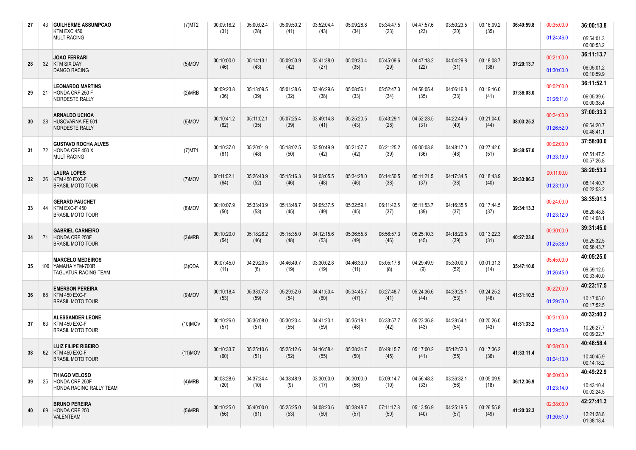| 27 |    | 43 GUILHERME ASSUMPCAO<br>KTM EXC 450                                | $(7)$ MT2  | 00:09:16.2<br>(31) | 05:00:02.4<br>(28) | 05:09:50.2<br>(41) | 03:52:04.4<br>(43) | 05:09:28.8<br>(34) | 05:34:47.5<br>(23) | 04:47:57.6<br>(23) | 03:50:23.5<br>(20) | 03:16:09.2<br>(35) | 36:49:59.8 | 00:35:00.0 | 36:00:13.8               |
|----|----|----------------------------------------------------------------------|------------|--------------------|--------------------|--------------------|--------------------|--------------------|--------------------|--------------------|--------------------|--------------------|------------|------------|--------------------------|
|    |    | <b>MULT RACING</b>                                                   |            |                    |                    |                    |                    |                    |                    |                    |                    |                    |            | 01:24:46.0 | 05:54:01.3<br>00:00:53.2 |
|    |    | <b>JOAO FERRARI</b><br>32 KTM SIX DAY<br><b>DANGO RACING</b>         |            | 00:10:00.0         | 05:14:13.1         | 05:09:50.9         | 03:41:38.0         | 05:09:30.4         | 05:45:09.6         | 04:47:13.2         | 04:04:29.8         | 03:18:08.7         |            | 00:21:00.0 | 36:11:13.7               |
| 28 |    |                                                                      | $(5)$ MOV  | (46)               | (43)               | (42)               | (27)               | (35)               | (29)               | (22)               | (31)               | (38)               | 37:20:13.7 | 01:30:00.0 | 06:05:01.2<br>00:10:59.9 |
|    |    | <b>LEONARDO MARTINS</b>                                              |            | 00:09:23.8         | 05:13:09.5         | 05:01:38.6         | 03:46:29.6         | 05:08:56.1         | 05:52:47.3         | 04:58:05.4         | 04:06:16.8         | 03:19:16.0         |            | 00:02:00.0 | 36:11:52.1               |
| 29 | 21 | HONDA CRF 250 F<br>NORDESTE RALLY                                    | (2)MRB     | (36)               | (39)               | (32)               | (38)               | (33)               | (34)               | (35)               | (33)               | (41)               | 37:36:03.0 | 01:26:11.0 | 06:05:39.6<br>00:00:38.4 |
|    |    | <b>ARNALDO UCHOA</b>                                                 |            | 00:10:41.2         | 05:11:02.1         | 05:07:25.4         | 03:49:14.8         | 05:25:20.5         | 05:43:29.1         | 04:52:23.5         | 04:22:44.6         | 03:21:04.0         |            | 00:24:00.0 | 37:00:33.2               |
| 30 |    | 28 HUSQVARNA FE 501<br>NORDESTE RALLY                                | $(6)$ MOV  | (62)               | (35)               | (39)               | (41)               | (43)               | (28)               | (31)               | (40)               | (44)               | 38:03:25.2 | 01:26:52.0 | 06:54:20.7<br>00:48:41.1 |
| 31 |    | <b>GUSTAVO ROCHA ALVES</b><br>72 HONDA CRF 450 X                     | $(7)$ MT1  | 00:10:37.0         | 05:20:01.9         | 05:18:02.5         | 03:50:49.9         | 05:21:57.7         | 06:21:25.2         | 05:00:03.8         | 04:48:17.0         | 03:27:42.0         | 39:38:57.0 | 00:02:00.0 | 37:58:00.0               |
|    |    | <b>MULT RACING</b>                                                   |            | (61)               | (48)               | (50)               | (42)               | (42)               | (39)               | (36)               | (48)               | (51)               |            | 01:33:19.0 | 07:51:47.5<br>00:57:26.8 |
|    |    | <b>LAURA LOPES</b><br>36 KTM 450 EXC-F<br><b>BRASIL MOTO TOUR</b>    |            | 00:11:02.1         | 05:26:43.9         | 05:15:16.3         | 04:03:05.5         | 05:34:28.0         | 06:14:50.5         | 05:11:21.5         | 04:17:34.5         | 03:18:43.9         | 39:33:06.2 | 00:11:00.0 | 38:20:53.2               |
| 32 |    |                                                                      | $(7)$ MOV  | (64)               | (52)               | (46)               | (48)               | (46)               | (38)               | (37)               | (38)               | (40)               |            | 01:23:13.0 | 08:14:40.7<br>00:22:53.2 |
|    |    | <b>GERARD PAUCHET</b>                                                |            | 00:10:07.9         | 05:33:43.9         | 05:13:48.7         | 04:05:37.5         | 05:32:59.1         | 06:11:42.5         | 05:11:53.7         | 04:16:35.5         | 03:17:44.5         |            | 00:24:00.0 | 38:35:01.3               |
| 33 | 44 | KTM EXC-F 450<br><b>BRASIL MOTO TOUR</b>                             | $(8)$ MOV  | (50)               | (53)               | (45)               | (49)               | (45)               | (37)               | (39)               | (37)               | (37)               | 39:34:13.3 | 01:23:12.0 | 08:28:48.8<br>00:14:08.1 |
|    |    | <b>GABRIEL CARNEIRO</b><br>HONDA CRF 250F<br><b>BRASIL MOTO TOUR</b> | (3)MRB     | 00:10:20.0         | 05:18:26.2         | 05:15:35.0         | 04:12:15.6         | 05:36:55.8         | 06:56:57.3         | 05:25:10.3         | 04:18:20.5         | 03:13:22.3         | 40:27:23.0 | 00:30:00.0 | 39:31:45.0               |
| 34 | 71 |                                                                      |            | (54)               | (46)               | (48)               | (53)               | (49)               | (46)               | (45)               | (39)               | (31)               |            | 01:25:38.0 | 09:25:32.5<br>00:56:43.7 |
|    |    | <b>MARCELO MEDEIROS</b>                                              |            | 00:07:45.0         | 04:29:20.5         | 04:46:49.7         | 03:30:02.8         | 04:46:33.0         | 05:05:17.8         | 04:29:49.9         | 05:30:00.0         | 03:01:31.3         | 35:47:10.0 | 05:45:00.0 | 40:05:25.0               |
| 35 |    | 100 YAMAHA YFM-700R<br><b>TAGUATUR RACING TEAM</b>                   | (3)QDA     | (11)               | (6)                | (19)               | (19)               | (11)               | (8)                | (9)                | (52)               | (14)               |            | 01:26:45.0 | 09:59:12.5<br>00:33:40.0 |
| 36 |    | <b>EMERSON PEREIRA</b><br>68 KTM 450 EXC-F                           | $(9)$ MOV  | 00:10:18.4         | 05:38:07.8         | 05:29:52.6         | 04:41:50.4         | 05:34:45.7         | 06:27:48.7         | 05:24:36.6         | 04:39:25.1         | 03:24:25.2         | 41:31:10.5 | 00:22:00.0 | 40:23:17.5               |
|    |    | <b>BRASIL MOTO TOUR</b>                                              |            | (53)               | (59)               | (54)               | (60)               | (47)               | (41)               | (44)               | (53)               | (46)               |            | 01:29:53.0 | 10:17:05.0<br>00:17:52.5 |
|    |    | <b>ALESSANDER LEONE</b><br>KTM 450 EXC-F                             | $(10)$ MOV | 00:10:26.0         | 05:36:08.0         | 05:30:23.4         | 04:41:23.1         | 05:35:18.1         | 06:33:57.7         | 05:23:36.8         | 04:39:54.1         | 03:20:26.0         | 41:31:33.2 | 00:31:00.0 | 40:32:40.2               |
| 37 | 63 | <b>BRASIL MOTO TOUR</b>                                              |            | (57)               | (57)               | (55)               | (59)               | (48)               | (42)               | (43)               | (54)               | (43)               |            | 01:29:53.0 | 10:26:27.7<br>00:09:22.7 |
|    |    | <b>LUIZ FILIPE RIBEIRO</b><br>62 KTM 450 EXC-F                       |            | 00:10:33.7         | 05:25:10.6         | 05:25:12.6         | 04:16:58.4         | 05:38:31.7         | 06:49:15.7         | 05:17:00.2         | 05:12:52.3         | 03:17:36.2         |            | 00:38:00.0 | 40:46:58.4               |
| 38 |    | <b>BRASIL MOTO TOUR</b>                                              | $(11)$ MOV | (60)               | (51)               | (52)               | (55)               | (50)               | (45)               | (41)               | (55)               | (36)               | 41:33:11.4 | 01:24:13.0 | 10:40:45.9<br>00:14:18.2 |
|    |    | <b>THIAGO VELOSO</b>                                                 |            | 00:08:28.6         | 04:37:34.4         | 04:38:48.9         | 03:30:00.0         | 06:30:00.0         | 05:09:14.7         | 04:56:48.3         | 03:36:32.1         | 03:05:09.9         |            | 06:00:00.0 | 40:49:22.9               |
| 39 |    | 25 HONDA CRF 250F<br>HONDA RACING RALLY TEAM                         | (4)MRB     | (20)               | (10)               | (9)                | (17)               | (56)               | (10)               | (33)               | (56)               | (18)               | 36:12:36.9 | 01:23:14.0 | 10:43:10.4<br>00:02:24.5 |
|    |    | <b>BRUNO PEREIRA</b>                                                 |            | 00:10:25.0         | 05:40:00.0         | 05:25:25.0         | 04:08:23.6         | 05:38:48.7         | 07:11:17.8         | 05:13:56.9         | 04:25:19.5         | 03:26:55.8         | 41:20:32.3 | 02:38:00.0 | 42:27:41.3               |
| 40 |    | 69 HONDA CRF 250<br>VALENTEAM                                        | (5)MRB     | (56)               | (61)               | (53)               | (50)               | (57)               | (50)               | (40)               | (57)               | (49)               |            | 01:30:51.0 | 12:21:28.8<br>01:38:18.4 |
|    |    |                                                                      |            |                    |                    |                    |                    |                    |                    |                    |                    |                    |            |            |                          |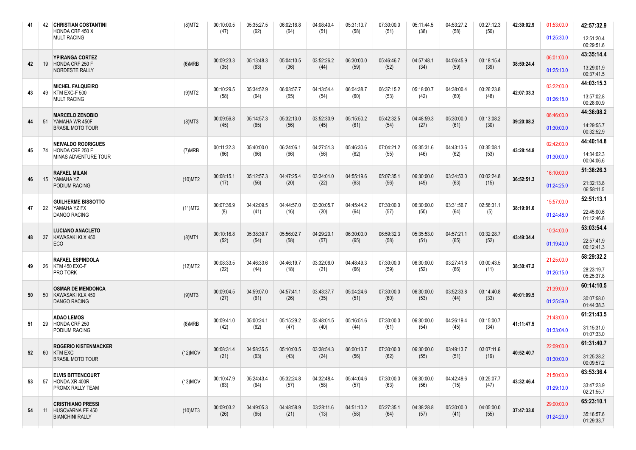| 41 |    | 42 CHRISTIAN COSTANTINI<br>HONDA CRF 450 X                       | $(8)$ MT2  | 00:10:00.5<br>(47) | 05:35:27.5<br>(62) | 06:02:16.8<br>(64) | 04:08:40.4<br>(51) | 05:31:13.7<br>(58) | 07:30:00.0<br>(51) | 05:11:44.5<br>(38) | 04:53:27.2<br>(58) | 03:27:12.3<br>(50) | 42:30:02.9 | 01:53:00.0 | 42:57:32.9               |
|----|----|------------------------------------------------------------------|------------|--------------------|--------------------|--------------------|--------------------|--------------------|--------------------|--------------------|--------------------|--------------------|------------|------------|--------------------------|
|    |    | <b>MULT RACING</b>                                               |            |                    |                    |                    |                    |                    |                    |                    |                    |                    |            | 01:25:30.0 | 12:51:20.4<br>00:29:51.6 |
|    |    | YPIRANGA CORTEZ                                                  |            | 00:09:23.3         | 05:13:48.3         | 05:04:10.5         | 03:52:26.2         | 06:30:00.0         | 05:46:46.7         | 04:57:48.1         | 04:06:45.9         | 03:18:15.4         |            | 06:01:00.0 | 43:35:14.4               |
| 42 |    | 19 HONDA CRF 250 F<br>NORDESTE RALLY                             | (6)MRB     | (35)               | (63)               | (36)               | (44)               | (59)               | (52)               | (34)               | (59)               | (39)               | 38:59:24.4 | 01:25:10.0 | 13:29:01.9<br>00:37:41.5 |
|    |    | <b>MICHEL FALQUEIRO</b><br>KTM EXC-F 500                         |            | 00:10:29.5         | 05:34:52.9         | 06:03:57.7         | 04:13:54.4         | 06:04:38.7         | 06:37:15.2         | 05:18:00.7         | 04:38:00.4         | 03:26:23.8         |            | 03:22:00.0 | 44:03:15.3               |
| 43 | 49 | <b>MULT RACING</b>                                               | $(9)$ MT2  | (58)               | (64)               | (65)               | (54)               | (60)               | (53)               | (42)               | (60)               | (48)               | 42:07:33.3 | 01:26:18.0 | 13:57:02.8<br>00:28:00.9 |
|    |    | <b>MARCELO ZENOBIO</b><br>51 YAMAHA WR 450F                      |            | 00:09:56.8         | 05:14:57.3         | 05:32:13.0         | 03:52:30.9         | 05:15:50.2         | 05:42:32.5         | 04:48:59.3         | 05:30:00.0         | 03:13:08.2         | 39:20:08.2 | 06:46:00.0 | 44:36:08.2               |
| 44 |    | <b>BRASIL MOTO TOUR</b>                                          | $(8)$ MT3  | (45)               | (65)               | (56)               | (45)               | (61)               | (54)               | (27)               | (61)               | (30)               |            | 01:30:00.0 | 14:29:55.7<br>00:32:52.9 |
| 45 | 74 | <b>NEIVALDO RODRIGUES</b><br>HONDA CRF 250 F                     | (7)MRB     | 00:11:32.3         | 05:40:00.0         | 06:24:06.1         | 04:27:51.3         | 05:46:30.6         | 07:04:21.2         | 05:35:31.6         | 04:43:13.6         | 03:35:08.1         | 43:28:14.8 | 02:42:00.0 | 44:40:14.8               |
|    |    | MINAS ADVENTURE TOUR                                             |            | (66)               | (66)               | (66)               | (56)               | (62)               | (55)               | (46)               | (62)               | (53)               |            | 01:30:00.0 | 14:34:02.3<br>00:04:06.6 |
|    |    | <b>RAFAEL MILAN</b>                                              |            | 00:08:15.1         | 05:12:57.3         | 04:47:25.4         | 03:34:01.0         | 04:55:19.6         | 05:07:35.1         | 06:30:00.0         | 03:34:53.0         | 03:02:24.8         |            | 16:10:00.0 | 51:38:26.3               |
| 46 |    | 15 YAMAHA YZ<br><b>PODIUM RACING</b>                             | $(10)$ MT2 | (17)               | (56)               | (20)               | (22)               | (63)               | (56)               | (49)               | (63)               | (15)               | 36:52:51.3 | 01:24:25.0 | 21:32:13.8<br>06:58:11.5 |
|    |    | <b>GUILHERME BISSOTTO</b><br>YAMAHA YZ FX<br><b>DANGO RACING</b> |            | 00:07:36.9         | 04:42:09.5         | 04:44:57.0         | 03:30:05.7         | 04:45:44.2         | 07:30:00.0         | 06:30:00.0         | 03:31:56.7         | 02:56:31.1         |            | 15:57:00.0 | 52:51:13.1               |
| 47 | 22 |                                                                  | $(11)$ MT2 | (8)                | (41)               | (16)               | (20)               | (64)               | (57)               | (50)               | (64)               | (5)                | 38:19:01.0 | 01:24:48.0 | 22:45:00.6<br>01:12:46.8 |
|    |    | <b>LUCIANO ANACLETO</b>                                          |            | 00:10:16.8         | 05:38:39.7         | 05:56:02.7         | 04:29:20.1         | 06:30:00.0         | 06:59:32.3         | 05:35:53.0         | 04:57:21.1         | 03:32:28.7         |            | 10:34:00.0 | 53:03:54.4               |
| 48 | 37 | KAWASAKI KLX 450<br>ECO                                          | $(8)$ MT1  | (52)               | (54)               | (58)               | (57)               | (65)               | (58)               | (51)               | (65)               | (52)               | 43:49:34.4 | 01:19:40.0 | 22:57:41.9<br>00:12:41.3 |
|    |    | <b>RAFAEL ESPINDOLA</b>                                          |            | 00:08:33.5         | 04:46:33.6<br>(44) | 04:46:19.7         | 03:32:06.0<br>(21) | 04:48:49.3<br>(66) | 07:30:00.0         | 06:30:00.0         | 03:27:41.6<br>(66) | 03:00:43.5         |            | 21:25:00.0 | 58:29:32.2               |
| 49 | 26 | KTM 450 EXC-F<br>PRO TORK                                        | (12)MT2    | (22)               |                    | (18)               |                    |                    | (59)               | (52)               |                    | (11)               | 38:30:47.2 | 01:26:15.0 | 28:23:19.7<br>05:25:37.8 |
|    |    | <b>OSMAR DE MENDONCA</b>                                         |            | 00:09:04.5         | 04:59:07.0         | 04:57:41.1         | 03:43:37.7         | 05:04:24.6         | 07:30:00.0         | 06:30:00.0         | 03:52:33.8         | 03:14:40.8         |            | 21:39:00.0 | 60:14:10.5               |
| 50 | 50 | KAWASAKI KLX 450<br><b>DANGO RACING</b>                          | $(9)$ MT3  | (27)               | (61)               | (26)               | (35)               | (51)               | (60)               | (53)               | (44)               | (33)               | 40:01:09.5 | 01:25:59.0 | 30:07:58.0<br>01:44:38.3 |
|    |    | <b>ADAO LEMOS</b>                                                |            | 00:09:41.0         | 05:00:24.1         | 05:15:29.2         | 03:48:01.5         | 05:16:51.6         | 07:30:00.0         | 06:30:00.0         | 04:26:19.4         | 03:15:00.7         |            | 21:43:00.0 | 61:21:43.5               |
| 51 | 29 | HONDA CRF 250<br>PODIUM RACING                                   | (8)MRB     | (42)               | (62)               | (47)               | (40)               | (44)               | (61)               | (54)               | (45)               | (34)               | 41:11:47.5 | 01:33:04.0 | 31:15:31.0<br>01:07:33.0 |
|    |    | <b>ROGERIO KISTENMACKER</b>                                      |            | 00:08:31.4         | 04:58:35.5         | 05:10:00.5         | 03:38:54.3         | 06:00:13.7         | 07:30:00.0         | 06:30:00.0         | 03:49:13.7         | 03:07:11.6         |            | 22:09:00.0 | 61:31:40.7               |
| 52 |    | 60 KTM EXC<br><b>BRASIL MOTO TOUR</b>                            | $(12)$ MOV | (21)               | (63)               | (43)               | (24)               | (56)               | (62)               | (55)               | (51)               | (19)               | 40:52:40.7 | 01:30:00.0 | 31:25:28.2<br>00:09:57.2 |
|    |    | <b>ELVIS BITTENCOURT</b><br>57 HONDA XR 400R                     | $(13)$ MOV | 00:10:47.9         | 05:24:43.4         | 05:32:24.8         | 04:32:48.4         | 05:44:04.6         | 07:30:00.0         | 06:30:00.0         | 04:42:49.6         | 03:25:07.7         | 43:32:46.4 | 21:50:00.0 | 63:53:36.4               |
| 53 |    | PROMX RALLY TEAM                                                 |            | (63)               | (64)               | (57)               | (58)               | (57)               | (63)               | (56)               | (15)               | (47)               |            | 01:29:10.0 | 33:47:23.9<br>02:21:55.7 |
| 54 |    | <b>CRISTHIANO PRESSI</b>                                         | $(10)$ MT3 | 00:09:03.2         | 04:49:05.3         | 04:48:58.9         | 03:28:11.6         | 04:51:10.2         | 05:27:35.1         | 04:38:28.8         | 05:30:00.0         | 04:05:00.0         | 37:47:33.0 | 29:00:00.0 | 65:23:10.1               |
|    |    | 11 HUSQVARNA FE 450<br><b>BIANCHINI RALLY</b>                    |            | (26)               | (65)               | (21)               | (13)               | (58)               | (64)               | (57)               | (41)               | (55)               |            | 01:24:23.0 | 35:16:57.6<br>01:29:33.7 |